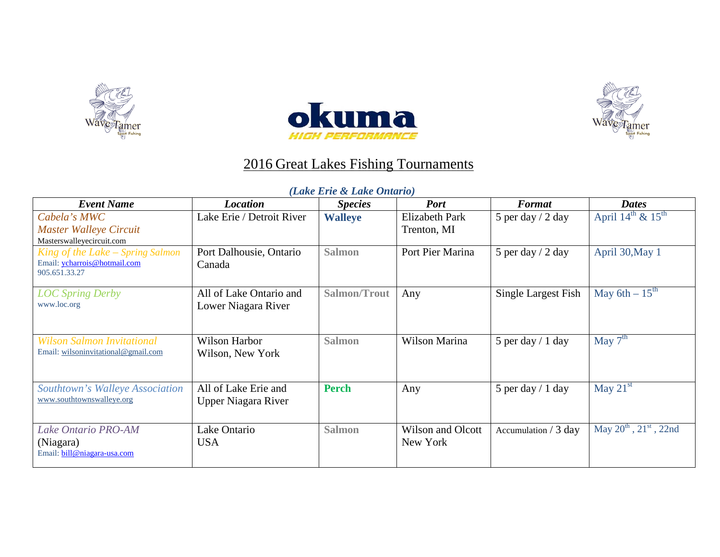





## 2016 Great Lakes Fishing Tournaments

## *(Lake Erie & Lake Ontario)*

| <b>Event Name</b>                             | <b>Location</b>            | <b>Species</b>      | <b>Port</b>           | <b>Format</b>         | <b>Dates</b>                              |
|-----------------------------------------------|----------------------------|---------------------|-----------------------|-----------------------|-------------------------------------------|
| Cabela's MWC                                  | Lake Erie / Detroit River  | <b>Walleye</b>      | <b>Elizabeth Park</b> | 5 per day $/$ 2 day   | April $14^{\text{th}}$ & $15^{\text{th}}$ |
| <b>Master Walleye Circuit</b>                 |                            |                     | Trenton, MI           |                       |                                           |
| Masterswalleyecircuit.com                     |                            |                     |                       |                       |                                           |
| King of the Lake – Spring Salmon              | Port Dalhousie, Ontario    | <b>Salmon</b>       | Port Pier Marina      | 5 per day $/$ 2 day   | April 30, May 1                           |
| Email: ycharrois@hotmail.com<br>905.651.33.27 | Canada                     |                     |                       |                       |                                           |
| <b>LOC Spring Derby</b>                       | All of Lake Ontario and    | <b>Salmon/Trout</b> | Any                   | Single Largest Fish   | May 6th $-15^{th}$                        |
| www.loc.org                                   | Lower Niagara River        |                     |                       |                       |                                           |
|                                               |                            |                     |                       |                       |                                           |
| <b>Wilson Salmon Invitational</b>             | Wilson Harbor              | <b>Salmon</b>       | Wilson Marina         | 5 per day $/ 1$ day   | May $7^{\text{th}}$                       |
| Email: wilsoninvitational@gmail.com           | Wilson, New York           |                     |                       |                       |                                           |
|                                               |                            |                     |                       |                       |                                           |
| Southtown's Walleye Association               | All of Lake Erie and       | <b>Perch</b>        | Any                   | 5 per day $/ 1$ day   | May $21st$                                |
| www.southtownswalleye.org                     | <b>Upper Niagara River</b> |                     |                       |                       |                                           |
|                                               |                            |                     |                       |                       |                                           |
| <b>Lake Ontario PRO-AM</b>                    | Lake Ontario               | <b>Salmon</b>       | Wilson and Olcott     | Accumulation $/3$ day | May $20^{th}$ , $21^{st}$ , 22nd          |
| (Niagara)                                     | <b>USA</b>                 |                     | New York              |                       |                                           |
| Email: bill@niagara-usa.com                   |                            |                     |                       |                       |                                           |
|                                               |                            |                     |                       |                       |                                           |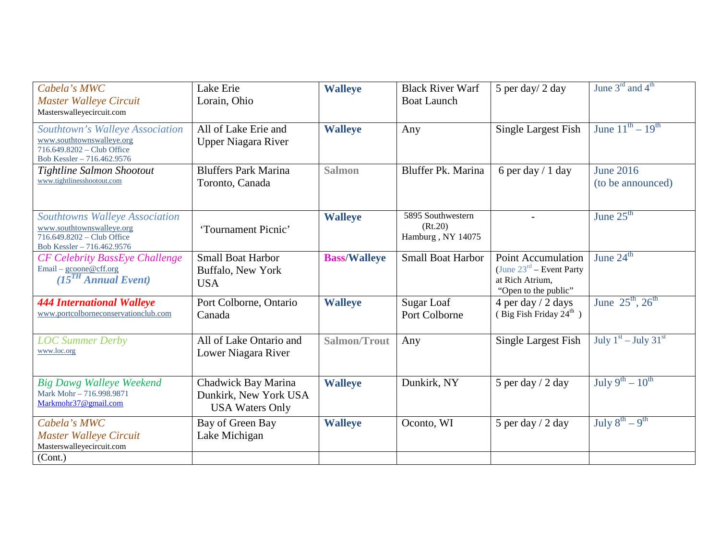| Cabela's MWC<br><b>Master Walleye Circuit</b><br>Masterswalleyecircuit.com                                                     | Lake Erie<br>Lorain, Ohio                                              | <b>Walleye</b>      | <b>Black River Warf</b><br><b>Boat Launch</b>     | 5 per day/ 2 day                                                                                             | June $3rd$ and $4th$                                         |
|--------------------------------------------------------------------------------------------------------------------------------|------------------------------------------------------------------------|---------------------|---------------------------------------------------|--------------------------------------------------------------------------------------------------------------|--------------------------------------------------------------|
| Southtown's Walleye Association<br>www.southtownswalleye.org<br>716.649.8202 - Club Office<br>Bob Kessler - 716.462.9576       | All of Lake Erie and<br><b>Upper Niagara River</b>                     | <b>Walleye</b>      | Any                                               | <b>Single Largest Fish</b>                                                                                   | June $11^{th} - 19^{th}$                                     |
| Tightline Salmon Shootout<br>www.tightlinesshootout.com                                                                        | <b>Bluffers Park Marina</b><br>Toronto, Canada                         | <b>Salmon</b>       | Bluffer Pk. Marina                                | 6 per day $/ 1$ day                                                                                          | <b>June 2016</b><br>(to be announced)                        |
| <b>Southtowns Walleye Association</b><br>www.southtownswalleye.org<br>716.649.8202 - Club Office<br>Bob Kessler - 716.462.9576 | 'Tournament Picnic'                                                    | <b>Walleye</b>      | 5895 Southwestern<br>(Rt.20)<br>Hamburg, NY 14075 |                                                                                                              | June $25th$                                                  |
| <b>CF Celebrity BassEye Challenge</b><br>Email – gcoone@cff.org<br>(15 <sup>TH</sup> Annual Event)                             | <b>Small Boat Harbor</b><br>Buffalo, New York<br><b>USA</b>            | <b>Bass/Walleye</b> | <b>Small Boat Harbor</b>                          | <b>Point Accumulation</b><br>(June $23^{\text{rd}}$ – Event Party<br>at Rich Atrium,<br>"Open to the public" | June $24th$                                                  |
| <b>444 International Walleye</b><br>www.portcolborneconservationclub.com                                                       | Port Colborne, Ontario<br>Canada                                       | <b>Walleye</b>      | Sugar Loaf<br>Port Colborne                       | 4 per day / 2 days<br>(Big Fish Friday 24 <sup>th</sup> )                                                    | June $25^{th}$ , $26^{th}$                                   |
| <b>LOC Summer Derby</b><br>www.loc.org                                                                                         | All of Lake Ontario and<br>Lower Niagara River                         | <b>Salmon/Trout</b> | Any                                               | <b>Single Largest Fish</b>                                                                                   | July $1st - July 31st$                                       |
| <b>Big Dawg Walleye Weekend</b><br>Mark Mohr-716.998.9871<br>Markmohr37@gmail.com                                              | Chadwick Bay Marina<br>Dunkirk, New York USA<br><b>USA Waters Only</b> | <b>Walleye</b>      | Dunkirk, NY                                       | 5 per day $/$ 2 day                                                                                          | July $9^{th} - 10^{th}$                                      |
| Cabela's MWC<br><b>Master Walleye Circuit</b><br>Masterswalleyecircuit.com<br>(Cont.)                                          | Bay of Green Bay<br>Lake Michigan                                      | <b>Walleye</b>      | Oconto, WI                                        | 5 per day $/$ 2 day                                                                                          | $\overline{\mathrm{July 8}}^{\mathrm{th}} - 9^{\mathrm{th}}$ |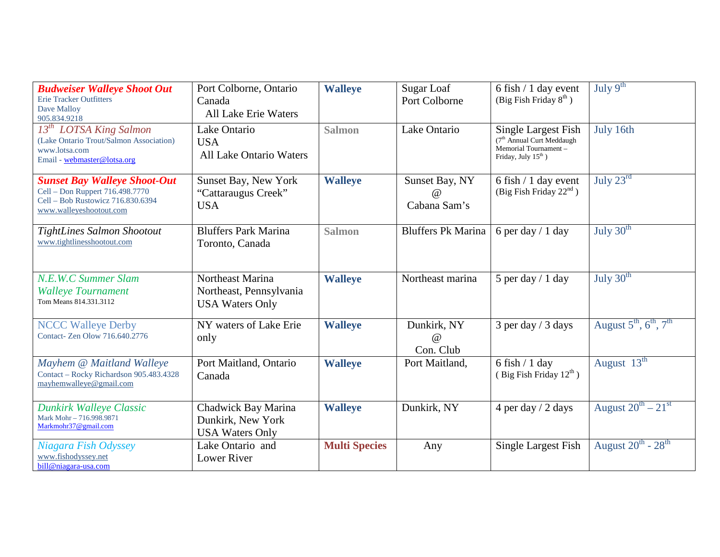| <b>Budweiser Walleye Shoot Out</b><br>Erie Tracker Outfitters<br>Dave Malloy<br>905.834.9218                                           | Port Colborne, Ontario<br>Canada<br><b>All Lake Erie Waters</b>       | <b>Walleye</b>       | Sugar Loaf<br>Port Colborne                | 6 fish / 1 day event<br>(Big Fish Friday $8^{th}$ )                                                                     | July $9th$                                                 |
|----------------------------------------------------------------------------------------------------------------------------------------|-----------------------------------------------------------------------|----------------------|--------------------------------------------|-------------------------------------------------------------------------------------------------------------------------|------------------------------------------------------------|
| $13^{th}$ LOTSA King Salmon<br>(Lake Ontario Trout/Salmon Association)<br>www.lotsa.com<br>Email - webmaster@lotsa.org                 | Lake Ontario<br><b>USA</b><br><b>All Lake Ontario Waters</b>          | <b>Salmon</b>        | Lake Ontario                               | Single Largest Fish<br>(7 <sup>th</sup> Annual Curt Meddaugh<br>Memorial Tournament-<br>Friday, July 15 <sup>th</sup> ) | July 16th                                                  |
| <b>Sunset Bay Walleye Shoot-Out</b><br>Cell - Don Ruppert 716.498.7770<br>Cell - Bob Rustowicz 716.830.6394<br>www.walleyeshootout.com | Sunset Bay, New York<br>"Cattaraugus Creek"<br><b>USA</b>             | <b>Walleye</b>       | Sunset Bay, NY<br>$\omega$<br>Cabana Sam's | 6 fish / 1 day event<br>(Big Fish Friday $22nd$ )                                                                       | July $23^{\text{rd}}$                                      |
| TightLines Salmon Shootout<br>www.tightlinesshootout.com                                                                               | <b>Bluffers Park Marina</b><br>Toronto, Canada                        | <b>Salmon</b>        | <b>Bluffers Pk Marina</b>                  | 6 per day $/ 1$ day                                                                                                     | July $30th$                                                |
| N.E.W.C Summer Slam<br><b>Walleye Tournament</b><br>Tom Means 814.331.3112                                                             | Northeast Marina<br>Northeast, Pennsylvania<br><b>USA Waters Only</b> | <b>Walleye</b>       | Northeast marina                           | 5 per day $/ 1$ day                                                                                                     | July $30th$                                                |
| <b>NCCC Walleye Derby</b><br>Contact- Zen Olow 716.640.2776                                                                            | NY waters of Lake Erie<br>only                                        | <b>Walleye</b>       | Dunkirk, NY<br>$\omega$<br>Con. Club       | $3$ per day / $3$ days                                                                                                  | August $5^{\text{th}}$ , $6^{\text{th}}$ , $7^{\text{th}}$ |
| Mayhem @ Maitland Walleye<br>Contact - Rocky Richardson 905.483.4328<br>mayhemwalleye@gmail.com                                        | Port Maitland, Ontario<br>Canada                                      | <b>Walleye</b>       | Port Maitland,                             | $6$ fish $/ 1$ day<br>(Big Fish Friday $12^{th}$ )                                                                      | August $13^{\text{th}}$                                    |
| <b>Dunkirk Walleye Classic</b><br>Mark Mohr-716.998.9871<br>Markmohr37@gmail.com                                                       | Chadwick Bay Marina<br>Dunkirk, New York<br><b>USA Waters Only</b>    | <b>Walleye</b>       | Dunkirk, NY                                | 4 per day $/$ 2 days                                                                                                    | August $20^{th} - 21^{st}$                                 |
| Niagara Fish Odyssey<br>www.fishodyssey.net<br>bill@niagara-usa.com                                                                    | Lake Ontario and<br><b>Lower River</b>                                | <b>Multi Species</b> | Any                                        | Single Largest Fish                                                                                                     | August $20^{th}$ - $28^{th}$                               |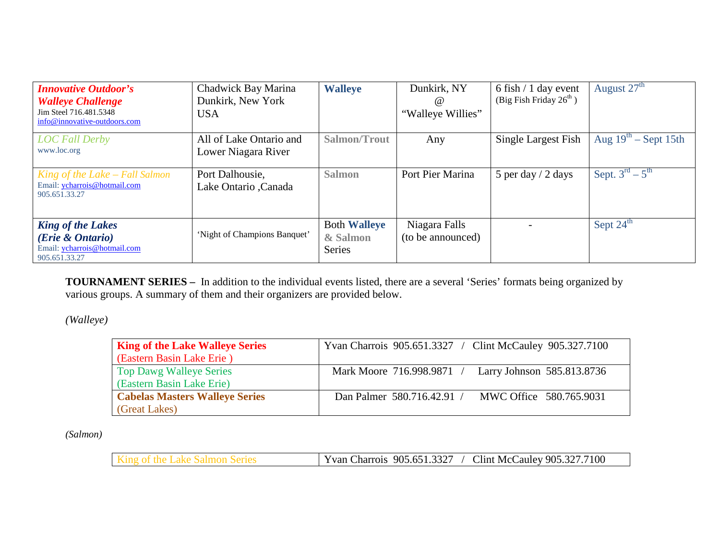| <b>Innovative Outdoor's</b><br><b>Walleye Challenge</b><br>Jim Steel 716.481.5348<br>info@innovative-outdoors.com | Chadwick Bay Marina<br>Dunkirk, New York<br><b>USA</b> | <b>Walleye</b>                                   | Dunkirk, NY<br>$\omega$<br>"Walleye Willies" | $6$ fish $/ 1$ day event<br>(Big Fish Friday $26th$ ) | August $27th$             |
|-------------------------------------------------------------------------------------------------------------------|--------------------------------------------------------|--------------------------------------------------|----------------------------------------------|-------------------------------------------------------|---------------------------|
| <b>LOC Fall Derby</b><br>www.loc.org                                                                              | All of Lake Ontario and<br>Lower Niagara River         | Salmon/Trout                                     | Any                                          | Single Largest Fish                                   | Aug $19^{th}$ – Sept 15th |
| King of the Lake – Fall Salmon<br>Email: ycharrois@hotmail.com<br>905.651.33.27                                   | Port Dalhousie,<br>Lake Ontario ,Canada                | <b>Salmon</b>                                    | Port Pier Marina                             | 5 per day $/$ 2 days                                  | Sept. $3^{rd} - 5^{th}$   |
| <b>King of the Lakes</b><br>( <i>Erie &amp; Ontario</i> )<br>Email: ycharrois@hotmail.com<br>905.651.33.27        | 'Night of Champions Banquet'                           | <b>Both Walleye</b><br>& Salmon<br><b>Series</b> | Niagara Falls<br>(to be announced)           |                                                       | Sept $24th$               |

**TOURNAMENT SERIES –** In addition to the individual events listed, there are a several 'Series' formats being organized by various groups. A summary of them and their organizers are provided below.

*(Walleye)*

| <b>King of the Lake Walleye Series</b> | Yvan Charrois 905.651.3327 / Clint McCauley 905.327.7100 |
|----------------------------------------|----------------------------------------------------------|
| (Eastern Basin Lake Erie)              |                                                          |
| <b>Top Dawg Walleye Series</b>         | Mark Moore 716.998.9871 /<br>Larry Johnson 585.813.8736  |
| (Eastern Basin Lake Erie)              |                                                          |
| <b>Cabelas Masters Walleye Series</b>  | MWC Office 580.765.9031<br>Dan Palmer 580.716.42.91 /    |
| (Great Lakes)                          |                                                          |

*(Salmon)*

| າາາກ<br>905<br>harrois.<br>$.332$ $^{\prime}$<br>ו כמ.כ | 7100<br>Clint<br>$\sqrt{905}$<br>nn-<br>McC<br>aulev |
|---------------------------------------------------------|------------------------------------------------------|
|                                                         |                                                      |